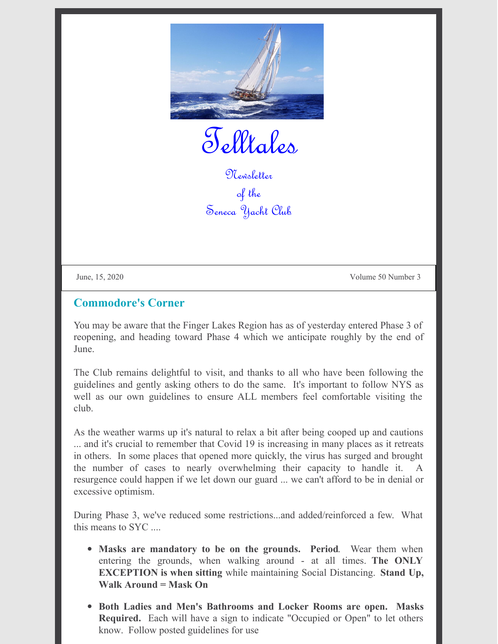

Telltales

Newsletter of the Seneca Yacht Club

June, 15, 2020 Volume 50 Number 3

### **Commodore's Corner**

You may be aware that the Finger Lakes Region has as of yesterday entered Phase 3 of reopening, and heading toward Phase 4 which we anticipate roughly by the end of June.

The Club remains delightful to visit, and thanks to all who have been following the guidelines and gently asking others to do the same. It's important to follow NYS as well as our own guidelines to ensure ALL members feel comfortable visiting the club.

As the weather warms up it's natural to relax a bit after being cooped up and cautions ... and it's crucial to remember that Covid 19 is increasing in many places as it retreats in others. In some places that opened more quickly, the virus has surged and brought the number of cases to nearly overwhelming their capacity to handle it. resurgence could happen if we let down our guard ... we can't afford to be in denial or excessive optimism.

During Phase 3, we've reduced some restrictions...and added/reinforced a few. What this means to SYC ....

- **Masks are mandatory to be on the grounds. Period**. Wear them when entering the grounds, when walking around - at all times. **The ONLY EXCEPTION is when sitting** while maintaining Social Distancing. **Stand Up, Walk Around = Mask On**
- **Both Ladies and Men's Bathrooms and Locker Rooms are open. Masks Required.** Each will have a sign to indicate "Occupied or Open" to let others know. Follow posted guidelines for use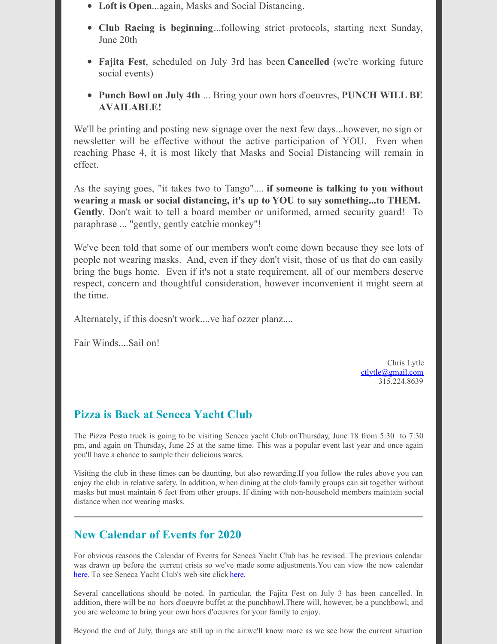- **Loft is Open**...again, Masks and Social Distancing.
- **Club Racing is beginning**...following strict protocols, starting next Sunday, June 20th
- **Fajita Fest**, scheduled on July 3rd has been **Cancelled** (we're working future social events)
- **Punch Bowl on July 4th** ... Bring your own hors d'oeuvres, **PUNCH WILL BE AVAILABLE!**

We'll be printing and posting new signage over the next few days...however, no sign or newsletter will be effective without the active participation of YOU. Even when reaching Phase 4, it is most likely that Masks and Social Distancing will remain in effect.

As the saying goes, "it takes two to Tango".... **if someone is talking to you without wearing a mask or social distancing, it's up to YOU to say something...to THEM. Gently**. Don't wait to tell a board member or uniformed, armed security guard! To paraphrase ... "gently, gently catchie monkey"!

We've been told that some of our members won't come down because they see lots of people not wearing masks. And, even if they don't visit, those of us that do can easily bring the bugs home. Even if it's not a state requirement, all of our members deserve respect, concern and thoughtful consideration, however inconvenient it might seem at the time.

Alternately, if this doesn't work....ve haf ozzer planz....

Fair Winds....Sail on!

Chris Lytle [ctlytle@gmail.com](mailto:ctlytle@gmail.com) 315.224.8639

# **Pizza is Back at Seneca Yacht Club**

The Pizza Posto truck is going to be visiting Seneca yacht Club onThursday, June 18 from 5:30 to 7:30 pm, and again on Thursday, June 25 at the same time. This was a popular event last year and once again you'll have a chance to sample their delicious wares.

Visiting the club in these times can be daunting, but also rewarding.If you follow the rules above you can enjoy the club in relative safety. In addition, when dining at the club family groups can sit together without masks but must maintain 6 feet from other groups. If dining with non-household members maintain social distance when not wearing masks.

### **New Calendar of Events for 2020**

For obvious reasons the Calendar of Events for Seneca Yacht Club has be revised. The previous calendar was drawn up before the current crisis so we've made some adjustments.You can view the new calendar [here](http://www.senecayc.org). To see Seneca Yacht Club's web site click here.

Several cancellations should be noted. In particular, the Fajita Fest on July 3 has been cancelled. In addition, there will be no hors d'oeuvre buffet at the punchbowl.There will, however, be a punchbowl, and you are welcome to bring your own hors d'oeuvres for your family to enjoy.

Beyond the end of July, things are still up in the air.we'll know more as we see how the current situation